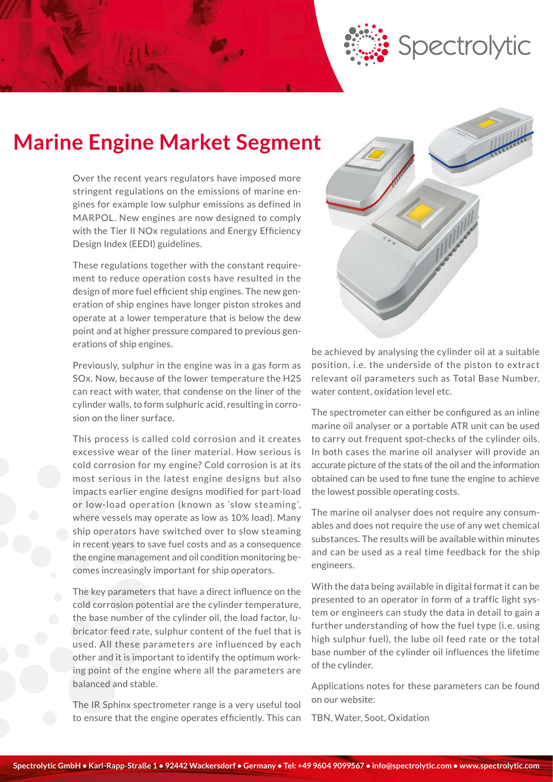

# **Marine Engine Market Segment**

Over the recent years regulators have imposed more stringent regulations on the emissions of marine engines for example low sulphur emissions as defined in MARPOL. New engines are now designed to comply with the Tier II NOx regulations and Energy Efficiency Design Index (EEDI) guidelines.

These regulations together with the constant requirement to reduce operation costs have resulted in the design of more fuel efficient ship engines. The new generation of ship engines have longer piston strokes and operate at a lower temperature that is below the dew point and at higher pressure compared to previous generations of ship engines.

Previously, sulphur in the engine was in a gas form as SOx. Now, because of the lower temperature the H2S can react with water, that condense on the liner of the cylinder walls, to form sulphuric acid, resulting in corrosion on the liner surface.

This process is called cold corrosion and it creates excessive wear of the liner material. How serious is cold corrosion for my engine? Cold corrosion is at its most serious in the latest engine designs but also impacts earlier engine designs modified for part-load or low-load operation (known as 'slow steaming', where vessels may operate as low as 10% load). Many ship operators have switched over to slow steaming in recent years to save fuel costs and as a consequence the engine management and oil condition monitoring becomes increasingly important for ship operators.

The key parameters that have a direct influence on the cold corrosion potential are the cylinder temperature, the base number of the cylinder oil, the load factor, lubricator feed rate, sulphur content of the fuel that is used. All these parameters are influenced by each other and it is important to identify the optimum working point of the engine where all the parameters are balanced and stable.

The IR Sphinx spectrometer range is a very useful tool to ensure that the engine operates efficiently. This can



be achieved by analysing the cylinder oil at a suitable position, i.e. the underside of the piston to extract relevant oil parameters such as Total Base Number, water content, oxidation level etc.

The spectrometer can either be configured as an inline marine oil analyser or a portable ATR unit can be used to carry out frequent spot-checks of the cylinder oils. In both cases the marine oil analyser will provide an accurate picture of the stats of the oil and the information obtained can be used to fine tune the engine to achieve the lowest possible operating costs.

The marine oil analyser does not require any consumables and does not require the use of any wet chemical substances. The results will be available within minutes and can be used as a real time feedback for the ship engineers.

With the data being available in digital format it can be presented to an operator in form of a traffic light system or engineers can study the data in detail to gain a further understanding of how the fuel type (i. e. using high sulphur fuel), the lube oil feed rate or the total base number of the cylinder oil influences the lifetime of the cylinder.

Applications notes for these parameters can be found on our website:

TBN, Water, Soot, Oxidation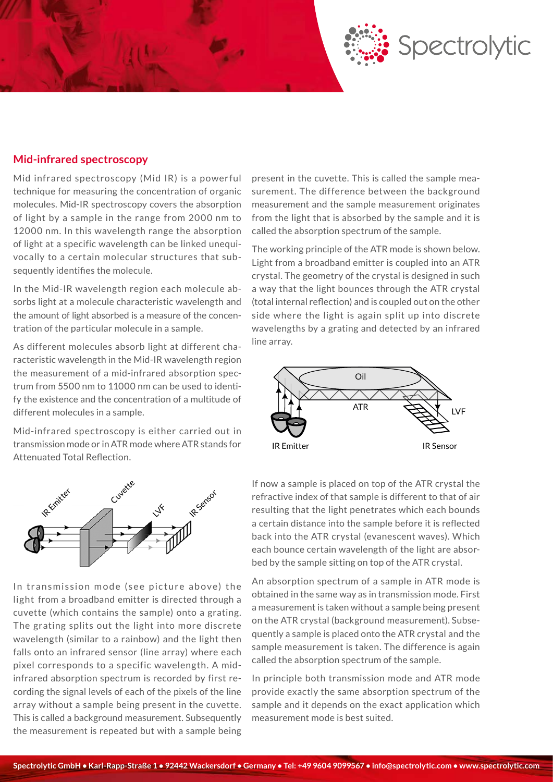

#### **Mid-infrared spectroscopy**

Mid infrared spectroscopy (Mid IR) is a powerful technique for measuring the concentration of organic molecules. Mid-IR spectroscopy covers the absorption of light by a sample in the range from 2000 nm to 12000 nm. In this wavelength range the absorption of light at a specific wavelength can be linked unequivocally to a certain molecular structures that subsequently identifies the molecule.

In the Mid-IR wavelength region each molecule absorbs light at a molecule characteristic wavelength and the amount of light absorbed is a measure of the concentration of the particular molecule in a sample.

As different molecules absorb light at different characteristic wavelength in the Mid-IR wavelength region the measurement of a mid-infrared absorption spectrum from 5500 nm to 11000 nm can be used to identify the existence and the concentration of a multitude of different molecules in a sample.

Mid-infrared spectroscopy is either carried out in transmission mode or in ATR mode where ATR stands for Attenuated Total Reflection.



In transmission mode (see picture above) the light from a broadband emitter is directed through a cuvette (which contains the sample) onto a grating. The grating splits out the light into more discrete wavelength (similar to a rainbow) and the light then falls onto an infrared sensor (line array) where each pixel corresponds to a specific wavelength. A midinfrared absorption spectrum is recorded by first recording the signal levels of each of the pixels of the line array without a sample being present in the cuvette. This is called a background measurement. Subsequently the measurement is repeated but with a sample being

present in the cuvette. This is called the sample measurement. The difference between the background measurement and the sample measurement originates from the light that is absorbed by the sample and it is called the absorption spectrum of the sample.

The working principle of the ATR mode is shown below. Light from a broadband emitter is coupled into an ATR crystal. The geometry of the crystal is designed in such a way that the light bounces through the ATR crystal (total internal reflection) and is coupled out on the other side where the light is again split up into discrete wavelengths by a grating and detected by an infrared line array.



If now a sample is placed on top of the ATR crystal the refractive index of that sample is different to that of air resulting that the light penetrates which each bounds a certain distance into the sample before it is reflected back into the ATR crystal (evanescent waves). Which each bounce certain wavelength of the light are absorbed by the sample sitting on top of the ATR crystal.

An absorption spectrum of a sample in ATR mode is obtained in the same way as in transmission mode. First a measurement is taken without a sample being present on the ATR crystal (background measurement). Subsequently a sample is placed onto the ATR crystal and the sample measurement is taken. The difference is again called the absorption spectrum of the sample.

In principle both transmission mode and ATR mode provide exactly the same absorption spectrum of the sample and it depends on the exact application which measurement mode is best suited.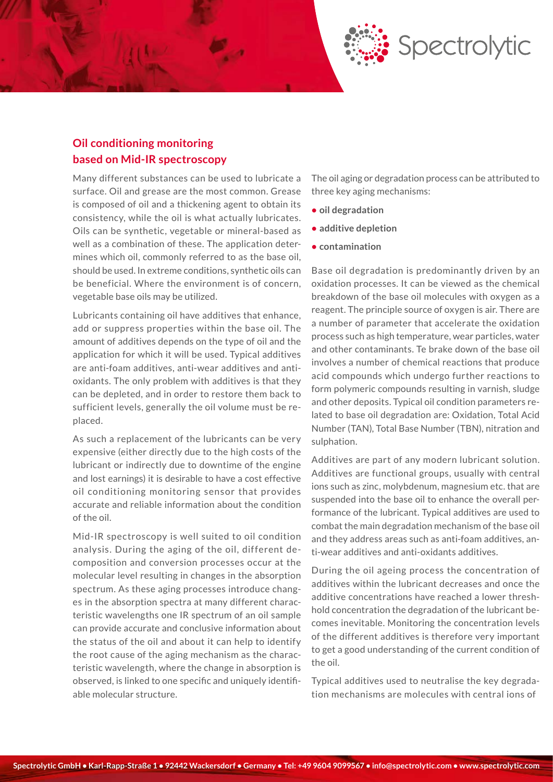

## **Oil conditioning monitoring based on Mid-IR spectroscopy**

Many different substances can be used to lubricate a surface. Oil and grease are the most common. Grease is composed of oil and a thickening agent to obtain its consistency, while the oil is what actually lubricates. Oils can be synthetic, vegetable or mineral-based as well as a combination of these. The application determines which oil, commonly referred to as the base oil, should be used. In extreme conditions, synthetic oils can be beneficial. Where the environment is of concern, vegetable base oils may be utilized.

Lubricants containing oil have additives that enhance, add or suppress properties within the base oil. The amount of additives depends on the type of oil and the application for which it will be used. Typical additives are anti-foam additives, anti-wear additives and antioxidants. The only problem with additives is that they can be depleted, and in order to restore them back to sufficient levels, generally the oil volume must be replaced.

As such a replacement of the lubricants can be very expensive (either directly due to the high costs of the lubricant or indirectly due to downtime of the engine and lost earnings) it is desirable to have a cost effective oil conditioning monitoring sensor that provides accurate and reliable information about the condition of the oil.

Mid-IR spectroscopy is well suited to oil condition analysis. During the aging of the oil, different decomposition and conversion processes occur at the molecular level resulting in changes in the absorption spectrum. As these aging processes introduce changes in the absorption spectra at many different characteristic wavelengths one IR spectrum of an oil sample can provide accurate and conclusive information about the status of the oil and about it can help to identify the root cause of the aging mechanism as the characteristic wavelength, where the change in absorption is observed, is linked to one specific and uniquely identifiable molecular structure.

The oil aging or degradation process can be attributed to three key aging mechanisms:

- **• oil degradation**
- **• additive depletion**
- **• contamination**

Base oil degradation is predominantly driven by an oxidation processes. It can be viewed as the chemical breakdown of the base oil molecules with oxygen as a reagent. The principle source of oxygen is air. There are a number of parameter that accelerate the oxidation process such as high temperature, wear particles, water and other contaminants. Te brake down of the base oil involves a number of chemical reactions that produce acid compounds which undergo further reactions to form polymeric compounds resulting in varnish, sludge and other deposits. Typical oil condition parameters related to base oil degradation are: Oxidation, Total Acid Number (TAN), Total Base Number (TBN), nitration and sulphation.

Additives are part of any modern lubricant solution. Additives are functional groups, usually with central ions such as zinc, molybdenum, magnesium etc. that are suspended into the base oil to enhance the overall performance of the lubricant. Typical additives are used to combat the main degradation mechanism of the base oil and they address areas such as anti-foam additives, anti-wear additives and anti-oxidants additives.

During the oil ageing process the concentration of additives within the lubricant decreases and once the additive concentrations have reached a lower threshhold concentration the degradation of the lubricant becomes inevitable. Monitoring the concentration levels of the different additives is therefore very important to get a good understanding of the current condition of the oil.

Typical additives used to neutralise the key degradation mechanisms are molecules with central ions of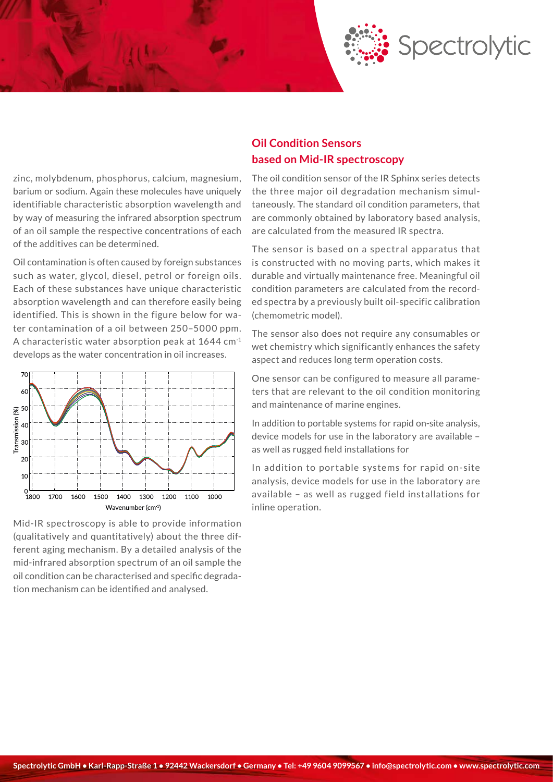

zinc, molybdenum, phosphorus, calcium, magnesium, barium or sodium. Again these molecules have uniquely identifiable characteristic absorption wavelength and by way of measuring the infrared absorption spectrum of an oil sample the respective concentrations of each of the additives can be determined.

Oil contamination is often caused by foreign substances such as water, glycol, diesel, petrol or foreign oils. Each of these substances have unique characteristic absorption wavelength and can therefore easily being identified. This is shown in the figure below for water contamination of a oil between 250–5000 ppm. A characteristic water absorption peak at 1644 cm-1 develops as the water concentration in oil increases.



Mid-IR spectroscopy is able to provide information (qualitatively and quantitatively) about the three different aging mechanism. By a detailed analysis of the mid-infrared absorption spectrum of an oil sample the oil condition can be characterised and specific degradation mechanism can be identified and analysed.

### **Oil Condition Sensors based on Mid-IR spectroscopy**

The oil condition sensor of the IR Sphinx series detects the three major oil degradation mechanism simultaneously. The standard oil condition parameters, that are commonly obtained by laboratory based analysis, are calculated from the measured IR spectra.

The sensor is based on a spectral apparatus that is constructed with no moving parts, which makes it durable and virtually maintenance free. Meaningful oil condition parameters are calculated from the recorded spectra by a previously built oil-specific calibration (chemometric model).

The sensor also does not require any consumables or wet chemistry which significantly enhances the safety aspect and reduces long term operation costs.

One sensor can be configured to measure all parameters that are relevant to the oil condition monitoring and maintenance of marine engines.

In addition to portable systems for rapid on-site analysis, device models for use in the laboratory are available – as well as rugged field installations for

In addition to portable systems for rapid on-site analysis, device models for use in the laboratory are available – as well as rugged field installations for inline operation.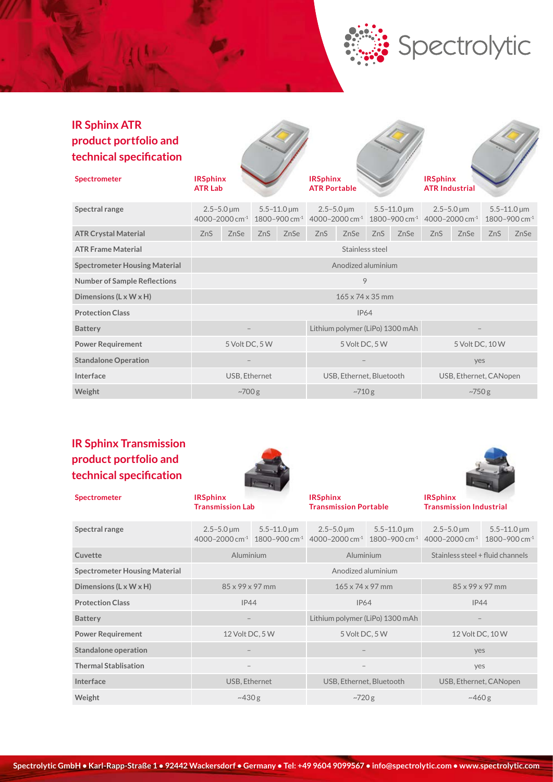## **IR Sphinx ATR product portfolio and technical specification**

| <b>Spectrometer</b>                  | <b>IRSphinx</b><br><b>ATR Lab</b> |                                                    |     |                          | <b>IRSphinx</b><br><b>ATR Portable</b>               |                                |                        |                                             | <b>IRSphinx</b><br><b>ATR Industrial</b>                     |      |     |                                                   |
|--------------------------------------|-----------------------------------|----------------------------------------------------|-----|--------------------------|------------------------------------------------------|--------------------------------|------------------------|---------------------------------------------|--------------------------------------------------------------|------|-----|---------------------------------------------------|
| Spectral range                       |                                   | $2.5 - 5.0 \,\text{\mu m}$<br>4000-2000 cm $^{-1}$ |     | $5.5 - 11.0 \,\mu m$     | 1800-900 cm <sup>-1</sup> 4000-2000 cm <sup>-1</sup> | $2.5 - 5.0 \,\mathrm{\upmu m}$ |                        | $5.5 - 11.0 \,\mu m$<br>1800-900 cm $^{-1}$ | $2.5 - 5.0 \,\mathrm{\upmu m}$<br>4000-2000 cm <sup>-1</sup> |      |     | $5.5 - 11.0 \,\mu m$<br>1800-900 cm <sup>-1</sup> |
| <b>ATR Crystal Material</b>          | ZnS                               | ZnSe                                               | ZnS | ZnSe                     | ZnS                                                  | ZnSe                           | ZnS                    | ZnSe                                        | ZnS                                                          | ZnSe | ZnS | ZnSe                                              |
| <b>ATR Frame Material</b>            | Stainless steel                   |                                                    |     |                          |                                                      |                                |                        |                                             |                                                              |      |     |                                                   |
| <b>Spectrometer Housing Material</b> | Anodized aluminium                |                                                    |     |                          |                                                      |                                |                        |                                             |                                                              |      |     |                                                   |
| <b>Number of Sample Reflections</b>  | 9                                 |                                                    |     |                          |                                                      |                                |                        |                                             |                                                              |      |     |                                                   |
| Dimensions (L x W x H)               | $165 \times 74 \times 35$ mm      |                                                    |     |                          |                                                      |                                |                        |                                             |                                                              |      |     |                                                   |
| <b>Protection Class</b>              | <b>IP64</b>                       |                                                    |     |                          |                                                      |                                |                        |                                             |                                                              |      |     |                                                   |
| <b>Battery</b>                       | Lithium polymer (LiPo) 1300 mAh   |                                                    |     |                          |                                                      |                                |                        |                                             |                                                              |      |     |                                                   |
| <b>Power Requirement</b>             | 5 Volt DC, 5 W                    |                                                    |     | 5 Volt DC, 5 W           |                                                      |                                | 5 Volt DC, 10 W        |                                             |                                                              |      |     |                                                   |
| <b>Standalone Operation</b>          |                                   |                                                    |     |                          |                                                      |                                | yes                    |                                             |                                                              |      |     |                                                   |
| Interface                            | USB, Ethernet                     |                                                    |     | USB, Ethernet, Bluetooth |                                                      |                                | USB, Ethernet, CANopen |                                             |                                                              |      |     |                                                   |
| Weight                               | $-700g$                           |                                                    |     | $-710g$                  |                                                      |                                | $-750g$                |                                             |                                                              |      |     |                                                   |

## **IR Sphinx Transmission product portfolio and technical specification**



**Spectrometer IRSphinx Transmission Lab IRSphinx Transmission Portable IRSphinx Transmission Industrial** 5.5–11.0 μm 2.5–5.0 μm 5.5–11.0 μm



Spectrolytic

| Spectral range                       | $2.5 - 5.0 \,\mathrm{\upmu m}$ | $5.5 - 11.0 \,\mathrm{\upmu m}$ | $2.5 - 5.0 \,\mu m$<br>$4000 - 2000$ cm <sup>-1</sup> $1800 - 900$ cm <sup>-1</sup> $4000 - 2000$ cm <sup>-1</sup> | $5.5 - 11.0 \,\mathrm{\upmu m}$<br>$1800 - 900$ cm <sup>-1</sup> | $2.5 - 5.0 \,\mathrm{\mu m}$<br>4000-2000 cm <sup>-1</sup> | $5.5 - 11.0 \,\mathrm{\upmu m}$<br>1800-900 cm <sup>-1</sup> |  |
|--------------------------------------|--------------------------------|---------------------------------|--------------------------------------------------------------------------------------------------------------------|------------------------------------------------------------------|------------------------------------------------------------|--------------------------------------------------------------|--|
| Cuvette                              | Aluminium                      |                                 | Aluminium                                                                                                          |                                                                  | Stainless steel + fluid channels                           |                                                              |  |
| <b>Spectrometer Housing Material</b> | Anodized aluminium             |                                 |                                                                                                                    |                                                                  |                                                            |                                                              |  |
| Dimensions $(L \times W \times H)$   | $85 \times 99 \times 97$ mm    |                                 | $165 \times 74 \times 97$ mm                                                                                       |                                                                  | $85 \times 99 \times 97$ mm                                |                                                              |  |
| <b>Protection Class</b>              | IP44                           |                                 | <b>IP64</b>                                                                                                        |                                                                  | IP44                                                       |                                                              |  |
| <b>Battery</b>                       |                                |                                 | Lithium polymer (LiPo) 1300 mAh                                                                                    |                                                                  |                                                            |                                                              |  |
| <b>Power Requirement</b>             | 12 Volt DC, 5 W                |                                 | 5 Volt DC, 5 W                                                                                                     |                                                                  | 12 Volt DC, 10 W                                           |                                                              |  |
| Standalone operation                 |                                |                                 |                                                                                                                    |                                                                  | yes                                                        |                                                              |  |
| <b>Thermal Stablisation</b>          | $\overline{\phantom{m}}$       |                                 |                                                                                                                    |                                                                  | yes                                                        |                                                              |  |
| Interface                            |                                | USB, Ethernet                   |                                                                                                                    | USB, Ethernet, Bluetooth                                         | USB, Ethernet, CANopen                                     |                                                              |  |
| Weight                               | ~1430 g                        |                                 | $-720g$                                                                                                            |                                                                  | ~1460 g                                                    |                                                              |  |